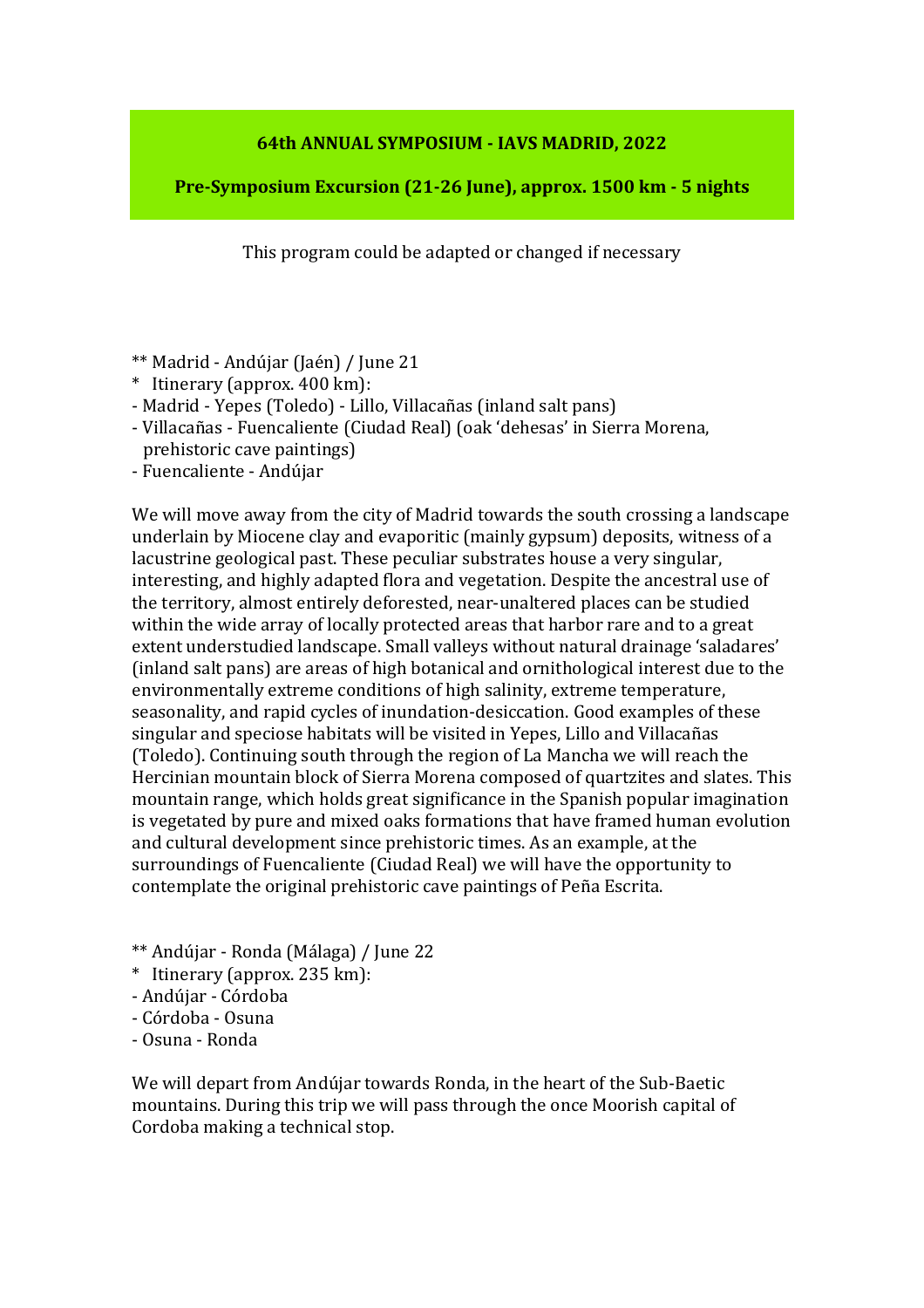## **64th ANNUAL SYMPOSIUM - IAVS MADRID, 2022**

**Pre-Symposium Excursion (21-26 June), approx. 1500 km - 5 nights**

This program could be adapted or changed if necessary

- \*\* Madrid Andújar (Jaén) / June 21
- \* Itinerary (approx. 400 km):
- Madrid Yepes (Toledo) Lillo, Villacañas (inland salt pans)
- Villacañas Fuencaliente (Ciudad Real) (oak 'dehesas' in Sierra Morena, prehistoric cave paintings)
- Fuencaliente Andújar

We will move away from the city of Madrid towards the south crossing a landscape underlain by Miocene clay and evaporitic (mainly gypsum) deposits, witness of a lacustrine geological past. These peculiar substrates house a very singular, interesting, and highly adapted flora and vegetation. Despite the ancestral use of the territory, almost entirely deforested, near-unaltered places can be studied within the wide array of locally protected areas that harbor rare and to a great extent understudied landscape. Small valleys without natural drainage 'saladares' (inland salt pans) are areas of high botanical and ornithological interest due to the environmentally extreme conditions of high salinity, extreme temperature, seasonality, and rapid cycles of inundation-desiccation. Good examples of these singular and speciose habitats will be visited in Yepes, Lillo and Villacañas (Toledo). Continuing south through the region of La Mancha we will reach the Hercinian mountain block of Sierra Morena composed of quartzites and slates. This mountain range, which holds great significance in the Spanish popular imagination is vegetated by pure and mixed oaks formations that have framed human evolution and cultural development since prehistoric times. As an example, at the surroundings of Fuencaliente (Ciudad Real) we will have the opportunity to contemplate the original prehistoric cave paintings of Peña Escrita.

- \*\* Andújar Ronda (Málaga) / June 22
- \* Itinerary (approx. 235 km):
- Andújar Córdoba
- Córdoba Osuna
- Osuna Ronda

We will depart from Andújar towards Ronda, in the heart of the Sub-Baetic mountains. During this trip we will pass through the once Moorish capital of Cordoba making a technical stop.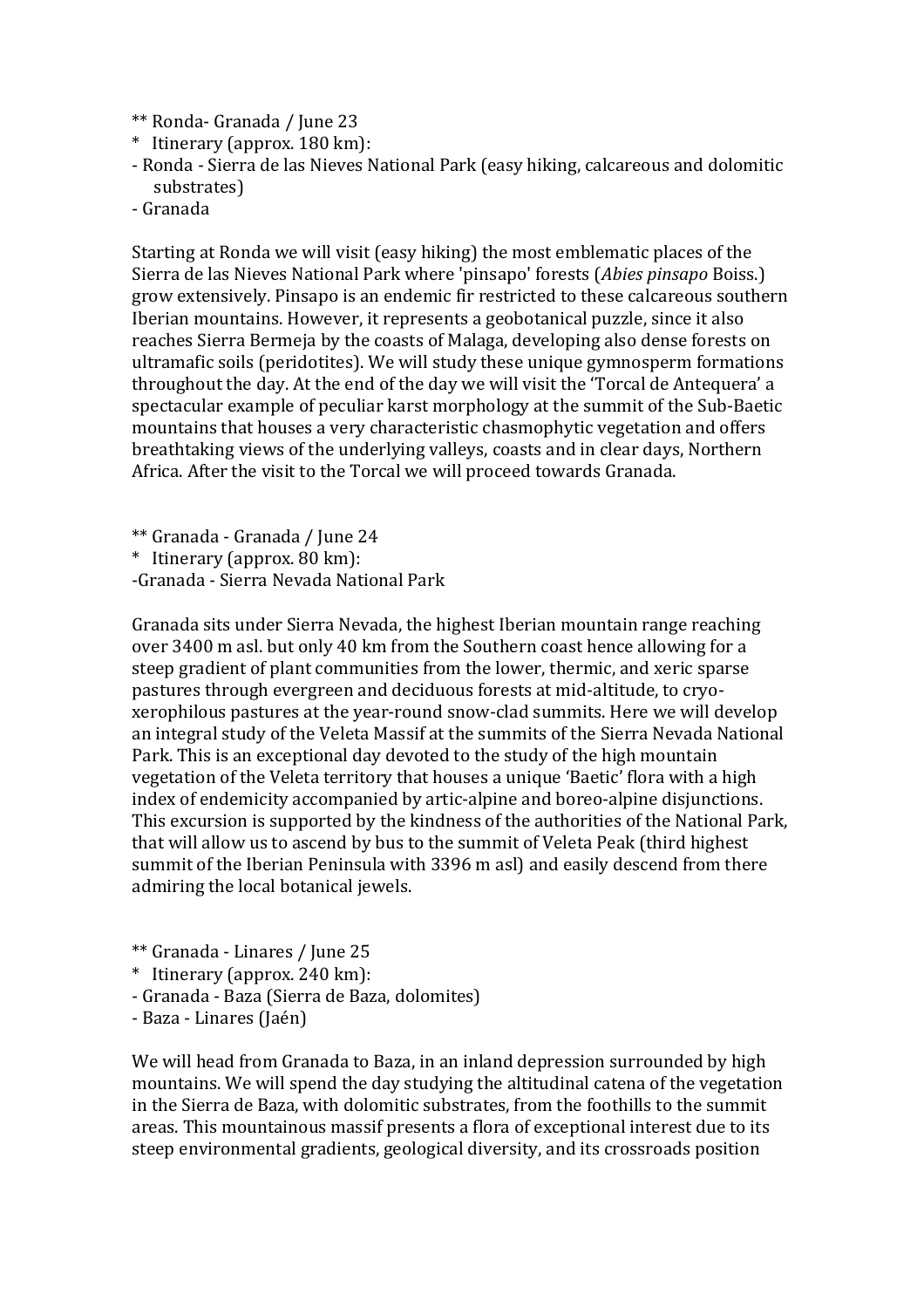- \*\* Ronda- Granada / June 23
- \* Itinerary (approx. 180 km):
- Ronda Sierra de las Nieves National Park (easy hiking, calcareous and dolomitic substrates)
- Granada

Starting at Ronda we will visit (easy hiking) the most emblematic places of the Sierra de las Nieves National Park where 'pinsapo' forests (*Abies pinsapo* Boiss.) grow extensively. Pinsapo is an endemic fir restricted to these calcareous southern Iberian mountains. However, it represents a geobotanical puzzle, since it also reaches Sierra Bermeja by the coasts of Malaga, developing also dense forests on ultramafic soils (peridotites). We will study these unique gymnosperm formations throughout the day. At the end of the day we will visit the 'Torcal de Antequera' a spectacular example of peculiar karst morphology at the summit of the Sub-Baetic mountains that houses a very characteristic chasmophytic vegetation and offers breathtaking views of the underlying valleys, coasts and in clear days, Northern Africa. After the visit to the Torcal we will proceed towards Granada.

\*\* Granada - Granada / June 24

\* Itinerary (approx. 80 km):

-Granada - Sierra Nevada National Park

Granada sits under Sierra Nevada, the highest Iberian mountain range reaching over 3400 m asl. but only 40 km from the Southern coast hence allowing for a steep gradient of plant communities from the lower, thermic, and xeric sparse pastures through evergreen and deciduous forests at mid-altitude, to cryoxerophilous pastures at the year-round snow-clad summits. Here we will develop an integral study of the Veleta Massif at the summits of the Sierra Nevada National Park. This is an exceptional day devoted to the study of the high mountain vegetation of the Veleta territory that houses a unique 'Baetic' flora with a high index of endemicity accompanied by artic-alpine and boreo-alpine disjunctions. This excursion is supported by the kindness of the authorities of the National Park, that will allow us to ascend by bus to the summit of Veleta Peak (third highest summit of the Iberian Peninsula with 3396 m asl) and easily descend from there admiring the local botanical jewels.

- \*\* Granada Linares / June 25
- \* Itinerary (approx. 240 km):
- Granada Baza (Sierra de Baza, dolomites)
- Baza Linares (Jaén)

We will head from Granada to Baza, in an inland depression surrounded by high mountains. We will spend the day studying the altitudinal catena of the vegetation in the Sierra de Baza, with dolomitic substrates, from the foothills to the summit areas. This mountainous massif presents a flora of exceptional interest due to its steep environmental gradients, geological diversity, and its crossroads position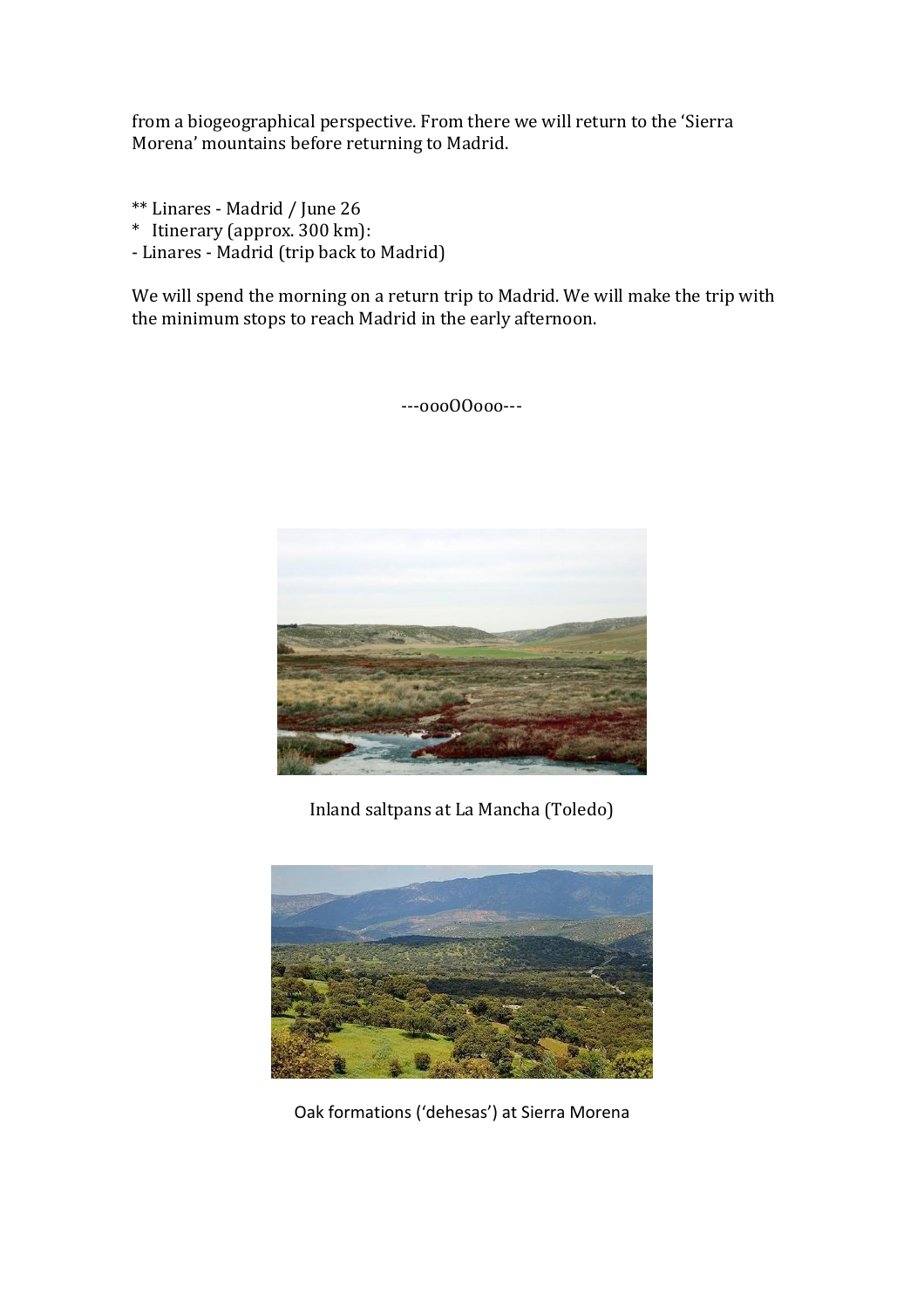from a biogeographical perspective. From there we will return to the 'Sierra Morena' mountains before returning to Madrid.

- \*\* Linares Madrid / June 26
- \* Itinerary (approx. 300 km):
- Linares Madrid (trip back to Madrid)

We will spend the morning on a return trip to Madrid. We will make the trip with the minimum stops to reach Madrid in the early afternoon.

---oooOOooo---



Inland saltpans at La Mancha (Toledo)



Oak formations ('dehesas') at Sierra Morena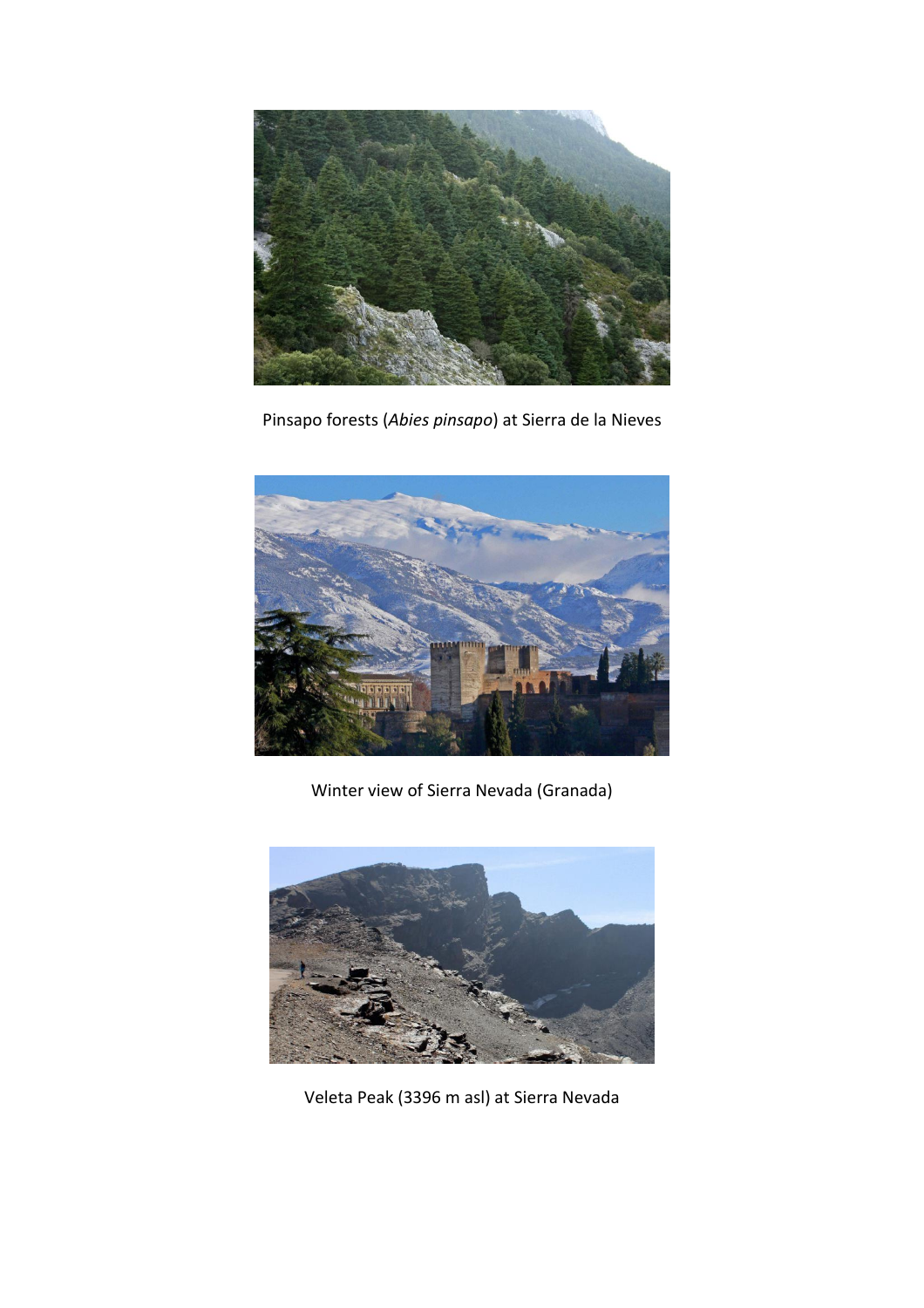

Pinsapo forests (*Abies pinsapo*) at Sierra de la Nieves



Winter view of Sierra Nevada (Granada)



Veleta Peak (3396 m asl) at Sierra Nevada